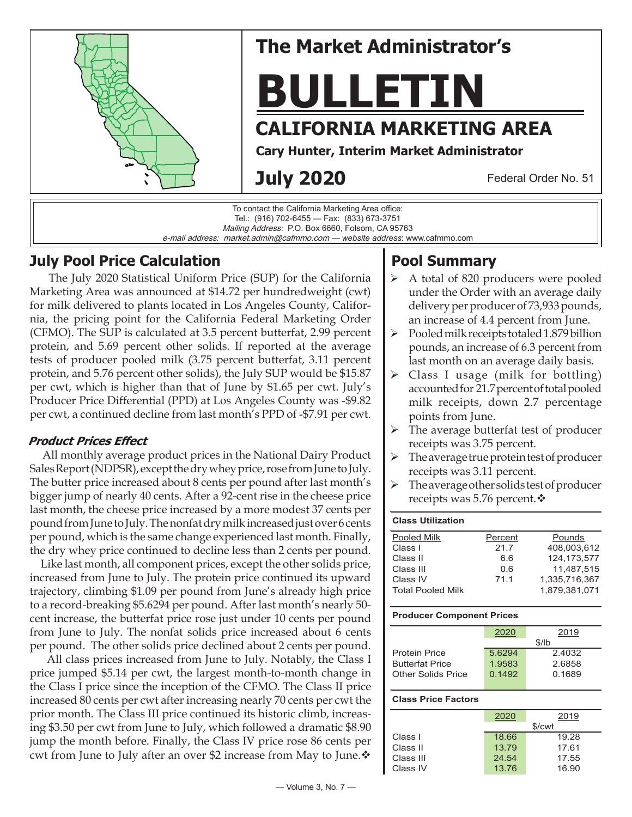

| To contact the California Marketing Area office:                          |
|---------------------------------------------------------------------------|
| Tel.: (916) 702-6455 — Fax: (833) 673-3751                                |
| Mailing Address: P.O. Box 6660, Folsom, CA 95763                          |
| e-mail address: market.admin@cafmmo.com — website address: www.cafmmo.com |

### **July Pool Price Calculation**

 The July 2020 Statistical Uniform Price (SUP) for the California Marketing Area was announced at \$14.72 per hundredweight (cwt) for milk delivered to plants located in Los Angeles County, California, the pricing point for the California Federal Marketing Order (CFMO). The SUP is calculated at 3.5 percent butterfat, 2.99 percent protein, and 5.69 percent other solids. If reported at the average tests of producer pooled milk (3.75 percent butterfat, 3.11 percent protein, and 5.76 percent other solids), the July SUP would be \$15.87 per cwt, which is higher than that of June by \$1.65 per cwt. July's Producer Price Differential (PPD) at Los Angeles County was -\$9.82 per cwt, a continued decline from last month's PPD of -\$7.91 per cwt.

### **Product Prices Effect**

 All monthly average product prices in the National Dairy Product Sales Report (NDPSR), except the dry whey price, rose from June to July. The butter price increased about 8 cents per pound after last month's bigger jump of nearly 40 cents. After a 92-cent rise in the cheese price last month, the cheese price increased by a more modest 37 cents per pound from June to July. The nonfat dry milk increased just over 6 cents per pound, which is the same change experienced last month. Finally, the dry whey price continued to decline less than 2 cents per pound.

 Like last month, all component prices, except the other solids price, increased from June to July. The protein price continued its upward trajectory, climbing \$1.09 per pound from June's already high price to a record-breaking \$5.6294 per pound. After last month's nearly 50 cent increase, the butterfat price rose just under 10 cents per pound from June to July. The nonfat solids price increased about 6 cents per pound. The other solids price declined about 2 cents per pound.

 All class prices increased from June to July. Notably, the Class I price jumped \$5.14 per cwt, the largest month-to-month change in the Class I price since the inception of the CFMO. The Class II price increased 80 cents per cwt after increasing nearly 70 cents per cwt the prior month. The Class III price continued its historic climb, increasing \$3.50 per cwt from June to July, which followed a dramatic \$8.90 jump the month before. Finally, the Class IV price rose 86 cents per cwt from June to July after an over \$2 increase from May to June. $\mathbf{\hat{v}}$ 

# **Pool Summary**

- A total of 820 producers were pooled under the Order with an average daily delivery per producer of 73,933 pounds, an increase of 4.4 percent from June.
- $\triangleright$  Pooled milk receipts totaled 1.879 billion pounds, an increase of 6.3 percent from last month on an average daily basis.
- $\triangleright$  Class I usage (milk for bottling) accounted for 21.7 percent of total pooled milk receipts, down 2.7 percentage points from June.
- $\triangleright$  The average butterfat test of producer receipts was 3.75 percent.
- $\triangleright$  The average true protein test of producer receipts was 3.11 percent.
- $\triangleright$  The average other solids test of producer receipts was 5.76 percent. $\mathbf{\hat{v}}$

| <b>Class Utilization</b> |         |               |
|--------------------------|---------|---------------|
| Pooled Milk              | Percent | Pounds        |
| Class I                  | 21.7    | 408.003.612   |
| Class II                 | 66      | 124.173.577   |
| Class III                | 0.6     | 11,487,515    |
| Class IV                 | 71.1    | 1,335,716,367 |
| <b>Total Pooled Milk</b> |         | 1.879.381.071 |

#### **Producer Component Prices**

|                           | 2020   | 2019   |  |  |  |
|---------------------------|--------|--------|--|--|--|
|                           | \$/lh  |        |  |  |  |
| <b>Protein Price</b>      | 56294  | 2.4032 |  |  |  |
| <b>Butterfat Price</b>    | 1.9583 | 2.6858 |  |  |  |
| <b>Other Solids Price</b> | 0.1492 | 0.1689 |  |  |  |
|                           |        |        |  |  |  |

#### **Class Price Factors**

|           | 2020   | 2019  |  |  |
|-----------|--------|-------|--|--|
|           | \$/cwt |       |  |  |
| Class I   | 18.66  | 19.28 |  |  |
| Class II  | 13.79  | 17.61 |  |  |
| Class III | 24.54  | 17.55 |  |  |
| Class IV  | 13.76  | 16.90 |  |  |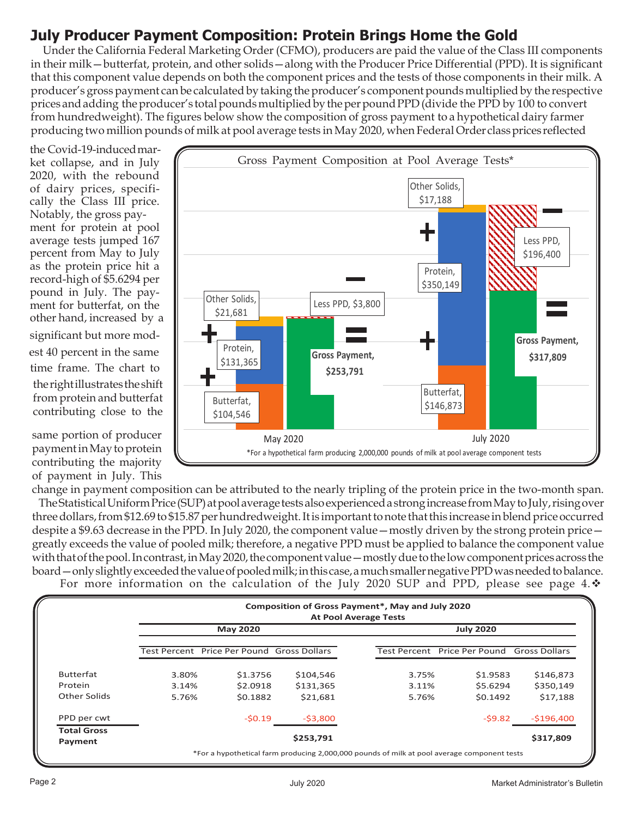## **July Producer Payment Composition: Protein Brings Home the Gold**

 Under the California Federal Marketing Order (CFMO), producers are paid the value of the Class III components in their milk—butterfat, protein, and other solids—along with the Producer Price Differential (PPD). It is significant that this component value depends on both the component prices and the tests of those components in their milk. A producer's gross payment can be calculated by taking the producer's component pounds multiplied by the respective prices and adding the producer's total pounds multiplied by the per pound PPD (divide the PPD by 100 to convert from hundredweight). The figures below show the composition of gross payment to a hypothetical dairy farmer producing two million pounds of milk at pool average tests in May 2020, when Federal Order class prices reflected

theright illustrates the shift from protein and butterfat contributing close to the the Covid-19-induced market collapse, and in July 2020, with the rebound of dairy prices, specifically the Class III price. Notably, the gross payment for protein at pool average tests jumped 167 percent from May to July as the protein price hit a record-high of \$5.6294 per pound in July. The payment for butterfat, on the other hand, increased by a

contributing the majority of payment in July. This



change in payment composition can be attributed to the nearly tripling of the protein price in the two-month span.

 The Statistical Uniform Price (SUP) at pool average tests also experienced a strong increase from May to July, rising over three dollars, from \$12.69 to \$15.87 per hundredweight. It is important to note that this increase in blend price occurred despite a \$9.63 decrease in the PPD. In July 2020, the component value—mostly driven by the strong protein price greatly exceeds the value of pooled milk; therefore, a negative PPD must be applied to balance the component value with that of the pool. In contrast, in May 2020, the component value—mostly due to the low component prices across the board—only slightly exceeded the value of pooled milk; in this case, a much smaller negative PPD was needed to balance.

For more information on the calculation of the July 2020 SUP and PPD, please see page 4. $\cdot$ 

| Composition of Gross Payment*, May and July 2020<br><b>At Pool Average Tests</b> |          |                  |                                                                    |          |                                                                   |
|----------------------------------------------------------------------------------|----------|------------------|--------------------------------------------------------------------|----------|-------------------------------------------------------------------|
| <b>May 2020</b>                                                                  |          | <b>July 2020</b> |                                                                    |          |                                                                   |
|                                                                                  |          |                  |                                                                    |          | <b>Gross Dollars</b>                                              |
| 3.80%                                                                            |          | \$104,546        |                                                                    | \$1.9583 | \$146,873                                                         |
| 3.14%                                                                            |          | \$131,365        |                                                                    | \$5.6294 | \$350,149                                                         |
| 5.76%                                                                            | \$0.1882 | \$21,681         |                                                                    | \$0.1492 | \$17,188                                                          |
|                                                                                  | $-50.19$ | $-53,800$        |                                                                    | $-59.82$ | $-5196,400$                                                       |
|                                                                                  |          | \$253,791        |                                                                    |          | \$317,809                                                         |
|                                                                                  |          |                  | Test Percent Price Per Pound Gross Dollars<br>\$1.3756<br>\$2.0918 |          | Price Per Pound<br><b>Test Percent</b><br>3.75%<br>3.11%<br>5.76% |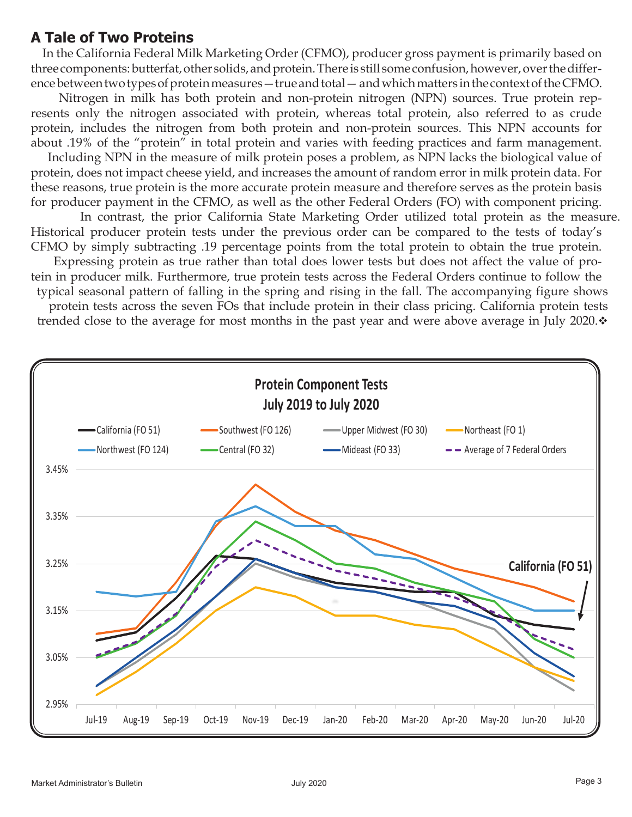### **A Tale of Two Proteins**

 In the California Federal Milk Marketing Order (CFMO), producer gross payment is primarily based on three components: butterfat, other solids, and protein. There is still some confusion, however, over the difference between two types of protein measures—true and total— and which matters in the context of the CFMO.

 Nitrogen in milk has both protein and non-protein nitrogen (NPN) sources. True protein represents only the nitrogen associated with protein, whereas total protein, also referred to as crude protein, includes the nitrogen from both protein and non-protein sources. This NPN accounts for about .19% of the "protein" in total protein and varies with feeding practices and farm management.

 Including NPN in the measure of milk protein poses a problem, as NPN lacks the biological value of protein, does not impact cheese yield, and increases the amount of random error in milk protein data. For these reasons, true protein is the more accurate protein measure and therefore serves as the protein basis for producer payment in the CFMO, as well as the other Federal Orders (FO) with component pricing.

In contrast, the prior California State Marketing Order utilized total protein as the measure. Historical producer protein tests under the previous order can be compared to the tests of today's CFMO by simply subtracting .19 percentage points from the total protein to obtain the true protein.

Expressing protein as true rather than total does lower tests but does not affect the value of protein in producer milk. Furthermore, true protein tests across the Federal Orders continue to follow the typical seasonal pattern of falling in the spring and rising in the fall. The accompanying figure shows

protein tests across the seven FOs that include protein in their class pricing. California protein tests trended close to the average for most months in the past year and were above average in July 2020. $\bullet$